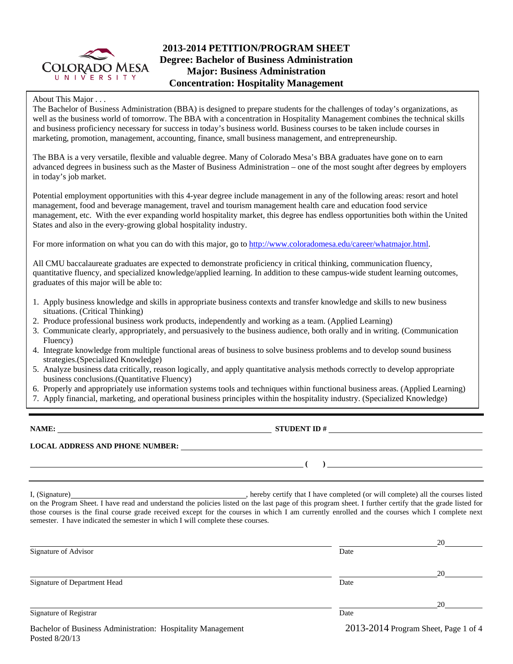

# **2013-2014 PETITION/PROGRAM SHEET Degree: Bachelor of Business Administration Major: Business Administration Concentration: Hospitality Management**

### About This Major . . .

The Bachelor of Business Administration (BBA) is designed to prepare students for the challenges of today's organizations, as well as the business world of tomorrow. The BBA with a concentration in Hospitality Management combines the technical skills and business proficiency necessary for success in today's business world. Business courses to be taken include courses in marketing, promotion, management, accounting, finance, small business management, and entrepreneurship.

The BBA is a very versatile, flexible and valuable degree. Many of Colorado Mesa's BBA graduates have gone on to earn advanced degrees in business such as the Master of Business Administration – one of the most sought after degrees by employers in today's job market.

Potential employment opportunities with this 4-year degree include management in any of the following areas: resort and hotel management, food and beverage management, travel and tourism management health care and education food service management, etc. With the ever expanding world hospitality market, this degree has endless opportunities both within the United States and also in the every-growing global hospitality industry.

For more information on what you can do with this major, go to http://www.coloradomesa.edu/career/whatmajor.html.

All CMU baccalaureate graduates are expected to demonstrate proficiency in critical thinking, communication fluency, quantitative fluency, and specialized knowledge/applied learning. In addition to these campus-wide student learning outcomes, graduates of this major will be able to:

- 1. Apply business knowledge and skills in appropriate business contexts and transfer knowledge and skills to new business situations. (Critical Thinking)
- 2. Produce professional business work products, independently and working as a team. (Applied Learning)
- 3. Communicate clearly, appropriately, and persuasively to the business audience, both orally and in writing. (Communication Fluency)
- 4. Integrate knowledge from multiple functional areas of business to solve business problems and to develop sound business strategies.(Specialized Knowledge)
- 5. Analyze business data critically, reason logically, and apply quantitative analysis methods correctly to develop appropriate business conclusions.(Quantitative Fluency)
- 6. Properly and appropriately use information systems tools and techniques within functional business areas. (Applied Learning)
- 7. Apply financial, marketing, and operational business principles within the hospitality industry. (Specialized Knowledge)

**NAME: STUDENT ID #** 

### **LOCAL ADDRESS AND PHONE NUMBER:**

Posted 8/20/13

I, (Signature) , hereby certify that I have completed (or will complete) all the courses listed on the Program Sheet. I have read and understand the policies listed on the last page of this program sheet. I further certify that the grade listed for those courses is the final course grade received except for the courses in which I am currently enrolled and the courses which I complete next semester. I have indicated the semester in which I will complete these courses.

|                                                             |      | 20                                   |
|-------------------------------------------------------------|------|--------------------------------------|
| Signature of Advisor                                        | Date |                                      |
|                                                             |      | 20                                   |
| Signature of Department Head                                | Date |                                      |
|                                                             |      | 20                                   |
| Signature of Registrar                                      | Date |                                      |
| Bachelor of Business Administration: Hospitality Management |      | 2013-2014 Program Sheet, Page 1 of 4 |

 **( )**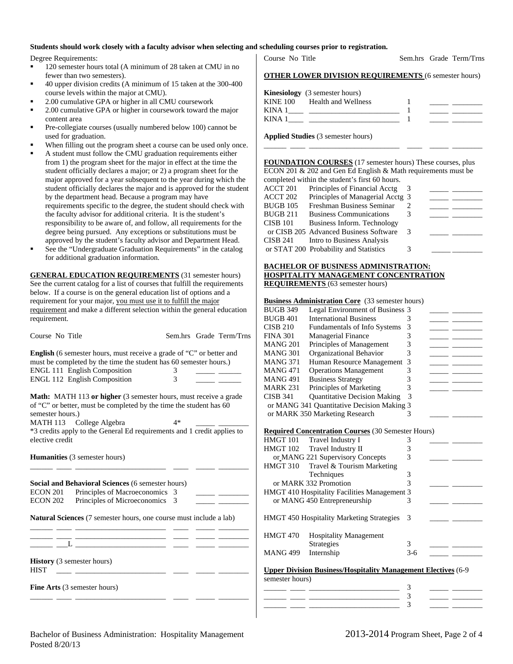#### **Students should work closely with a faculty advisor when selecting and scheduling courses prior to registration.**

Degree Requirements:

- 120 semester hours total (A minimum of 28 taken at CMU in no fewer than two semesters).
- 40 upper division credits (A minimum of 15 taken at the 300-400 course levels within the major at CMU).
- 2.00 cumulative GPA or higher in all CMU coursework
- 2.00 cumulative GPA or higher in coursework toward the major content area
- Pre-collegiate courses (usually numbered below 100) cannot be used for graduation.
- When filling out the program sheet a course can be used only once.
- A student must follow the CMU graduation requirements either from 1) the program sheet for the major in effect at the time the student officially declares a major; or 2) a program sheet for the major approved for a year subsequent to the year during which the student officially declares the major and is approved for the student by the department head. Because a program may have requirements specific to the degree, the student should check with the faculty advisor for additional criteria. It is the student's responsibility to be aware of, and follow, all requirements for the degree being pursued. Any exceptions or substitutions must be approved by the student's faculty advisor and Department Head.
- See the "Undergraduate Graduation Requirements" in the catalog for additional graduation information.

**GENERAL EDUCATION REQUIREMENTS** (31 semester hours) See the current catalog for a list of courses that fulfill the requirements below. If a course is on the general education list of options and a requirement for your major, you must use it to fulfill the major requirement and make a different selection within the general education requirement.

| Course No Title                                                                                                                                                                               |    | Sem.hrs Grade Term/Trns |
|-----------------------------------------------------------------------------------------------------------------------------------------------------------------------------------------------|----|-------------------------|
| <b>English</b> (6 semester hours, must receive a grade of "C" or better and<br>must be completed by the time the student has 60 semester hours.)                                              |    |                         |
| <b>ENGL 111 English Composition</b>                                                                                                                                                           | 3  |                         |
| <b>ENGL 112 English Composition</b>                                                                                                                                                           | 3  |                         |
| <b>Math:</b> MATH 113 or higher (3 semester hours, must receive a grade<br>of "C" or better, must be completed by the time the student has 60<br>semester hours.)<br>MATH 113 College Algebra | 4* |                         |
| *3 credits apply to the General Ed requirements and 1 credit applies to<br>elective credit                                                                                                    |    |                         |
| <b>Humanities</b> (3 semester hours)                                                                                                                                                          |    |                         |
|                                                                                                                                                                                               |    |                         |

**Social and Behavioral Sciences** (6 semester hours) ECON 201 Principles of Macroeconomics 3 ECON 202 Principles of Microeconomics 3

**Natural Sciences** (7 semester hours, one course must include a lab)

\_\_\_\_\_\_ \_\_\_\_ \_\_\_\_\_\_\_\_\_\_\_\_\_\_\_\_\_\_\_\_\_\_\_\_ \_\_\_\_ \_\_\_\_\_ \_\_\_\_\_\_\_\_

\_\_\_\_\_\_ \_\_\_\_ \_\_\_\_\_\_\_\_\_\_\_\_\_\_\_\_\_\_\_\_\_\_\_\_ \_\_\_\_ \_\_\_\_\_ \_\_\_\_\_\_\_\_  $\_\_$   $\_$   $\_$ 

**History** (3 semester hours)

 $HIST \quad \_\_\_\_\_\_$ 

**Fine Arts** (3 semester hours)

| Course No Title |  | Sem.hrs Grade Term/Trns |
|-----------------|--|-------------------------|
|                 |  |                         |

|             | <b>Kinesiology</b> (3 semester hours) |  |
|-------------|---------------------------------------|--|
| KINE 100    | Health and Wellness                   |  |
| KINA 1      |                                       |  |
| <b>KINA</b> |                                       |  |

**Applied Studies** (3 semester hours)

## **FOUNDATION COURSES** (17 semester hours) These courses, plus ECON 201 & 202 and Gen Ed English & Math requirements must be

\_\_\_\_\_\_ \_\_\_\_ \_\_\_\_\_\_\_\_\_\_\_\_\_\_\_\_\_\_\_\_\_\_\_\_ \_\_\_\_ \_\_\_\_\_ \_\_\_\_\_\_\_\_

|                 | completed within the student's first 60 hours. |    |  |
|-----------------|------------------------------------------------|----|--|
| ACCT 201        | Principles of Financial Acctg                  | -3 |  |
| ACCT 202        | Principles of Managerial Acctg 3               |    |  |
| <b>BUGB 105</b> | Freshman Business Seminar                      |    |  |
| <b>BUGB 211</b> | <b>Business Communications</b>                 |    |  |
| <b>CISB 101</b> | Business Inform. Technology                    |    |  |
|                 | or CISB 205 Advanced Business Software         | 3  |  |
| CISB 241        | Intro to Business Analysis                     |    |  |
|                 | or STAT 200 Probability and Statistics         |    |  |
|                 |                                                |    |  |

## **BACHELOR OF BUSINESS ADMINISTRATION: HOSPITALITY MANAGEMENT CONCENTRATION**

**REQUIREMENTS** (63 semester hours)

#### **Business Administration Core** (33 semester hours)

| <b>BUGB 349</b>     | Legal Environment of Business 3                                      |               |  |
|---------------------|----------------------------------------------------------------------|---------------|--|
| <b>BUGB 401</b>     | <b>International Business</b>                                        | 3             |  |
| CISB 210            | <b>Fundamentals of Info Systems</b>                                  | 3             |  |
| <b>FINA 301</b>     | Managerial Finance                                                   | 3             |  |
| MANG <sub>201</sub> | Principles of Management                                             | 3             |  |
| <b>MANG 301</b>     | Organizational Behavior                                              | 3             |  |
| <b>MANG 371</b>     | Human Resource Management                                            | 3             |  |
| MANG 471            | <b>Operations Management</b>                                         | 3             |  |
| <b>MANG 491</b>     | <b>Business Strategy</b>                                             | 3             |  |
| <b>MARK 231</b>     | Principles of Marketing                                              | 3             |  |
| CISB 341            | <b>Quantitative Decision Making</b>                                  | 3             |  |
|                     | or MANG 341 Quantitative Decision Making 3                           |               |  |
|                     | or MARK 350 Marketing Research                                       | 3             |  |
|                     |                                                                      |               |  |
|                     | <b>Required Concentration Courses (30 Semester Hours)</b>            |               |  |
| HMGT 101            | Travel Industry I                                                    | 3             |  |
| HMGT 102            | Travel Industry II                                                   | 3             |  |
|                     | or_MANG 221 Supervisory Concepts                                     | 3             |  |
| HMGT 310            | Travel & Tourism Marketing                                           |               |  |
|                     | Techniques                                                           | 3             |  |
|                     | or MARK 332 Promotion                                                | $\mathcal{R}$ |  |
|                     | <b>HMGT 410 Hospitality Facilities Management 3</b>                  |               |  |
|                     | or MANG 450 Entrepreneurship                                         | 3             |  |
|                     |                                                                      |               |  |
|                     | HMGT 450 Hospitality Marketing Strategies                            | 3             |  |
|                     |                                                                      |               |  |
| HMGT 470            | <b>Hospitality Management</b>                                        |               |  |
|                     | Strategies                                                           | 3             |  |
| <b>MANG 499</b>     | Internship                                                           | $3-6$         |  |
|                     |                                                                      |               |  |
|                     | <b>Upper Division Business/Hospitality Management Electives (6-9</b> |               |  |
| semester hours)     |                                                                      |               |  |
|                     |                                                                      | 3             |  |

\_\_\_\_\_\_ \_\_\_\_ \_\_\_\_\_\_\_\_\_\_\_\_\_\_\_\_\_\_\_\_\_\_\_\_ 3 \_\_\_\_\_ \_\_\_\_\_\_\_\_ \_\_\_\_\_\_ \_\_\_\_ \_\_\_\_\_\_\_\_\_\_\_\_\_\_\_\_\_\_\_\_\_\_\_\_ 3 \_\_\_\_\_ \_\_\_\_\_\_\_\_

\_\_\_\_\_\_ \_\_\_\_ \_\_\_\_\_\_\_\_\_\_\_\_\_\_\_\_\_\_\_\_\_\_\_\_ \_\_\_\_ \_\_\_\_\_ \_\_\_\_\_\_\_\_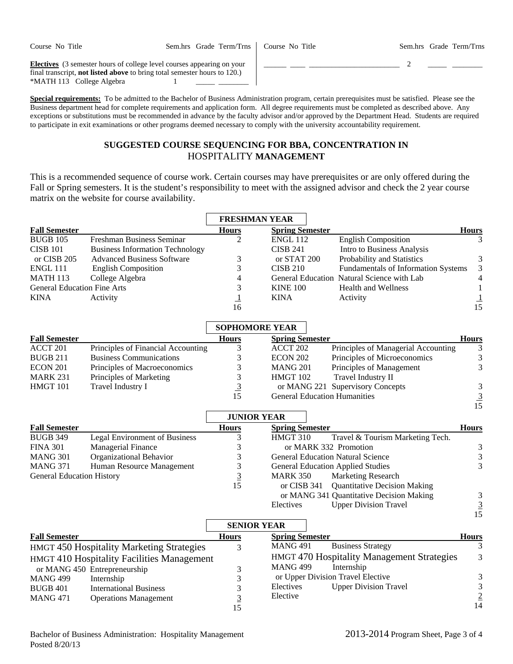Course No Title Sem.hrs Grade Term/Trns

Course No Title Sem.hrs Grade Term/Trns

\_\_\_\_\_\_ \_\_\_\_ \_\_\_\_\_\_\_\_\_\_\_\_\_\_\_\_\_\_\_\_\_\_\_\_ 2 \_\_\_\_\_ \_\_\_\_\_\_\_\_

**Electives** (3 semester hours of college level courses appearing on your final transcript, **not listed above** to bring total semester hours to 120.) \*MATH 113 College Algebra 1

**Special requirements:** To be admitted to the Bachelor of Business Administration program, certain prerequisites must be satisfied. Please see the Business department head for complete requirements and application form. All degree requirements must be completed as described above. Any exceptions or substitutions must be recommended in advance by the faculty advisor and/or approved by the Department Head. Students are required to participate in exit examinations or other programs deemed necessary to comply with the university accountability requirement.

## **SUGGESTED COURSE SEQUENCING FOR BBA, CONCENTRATION IN**  HOSPITALITY **MANAGEMENT**

This is a recommended sequence of course work. Certain courses may have prerequisites or are only offered during the Fall or Spring semesters. It is the student's responsibility to meet with the assigned advisor and check the 2 year course matrix on the website for course availability.

|                                    |                                            | <b>FRESHMAN YEAR</b>        |                                                |                                                   |                                  |
|------------------------------------|--------------------------------------------|-----------------------------|------------------------------------------------|---------------------------------------------------|----------------------------------|
| <b>Fall Semester</b>               |                                            | <b>Hours</b>                | <b>Spring Semester</b>                         |                                                   | <b>Hours</b>                     |
| <b>BUGB 105</b>                    | Freshman Business Seminar                  | 2                           | <b>ENGL 112</b>                                | <b>English Composition</b>                        | 3                                |
| <b>CISB 101</b>                    | <b>Business Information Technology</b>     |                             | <b>CISB 241</b>                                | Intro to Business Analysis                        |                                  |
| or CISB 205                        | <b>Advanced Business Software</b>          | 3                           | or STAT 200                                    | Probability and Statistics                        | 3                                |
| <b>ENGL 111</b>                    | <b>English Composition</b>                 | 3                           | <b>CISB 210</b>                                | Fundamentals of Information Systems               | 3                                |
| <b>MATH 113</b>                    | College Algebra                            | 4                           |                                                | General Education Natural Science with Lab        | $\overline{4}$                   |
| <b>General Education Fine Arts</b> |                                            | 3                           | <b>KINE 100</b>                                | <b>Health and Wellness</b>                        | $\mathbf{1}$                     |
| <b>KINA</b>                        | Activity                                   | $\overline{\mathbf{1}}$     | <b>KINA</b>                                    | Activity                                          | $\frac{1}{15}$                   |
|                                    |                                            | 16                          |                                                |                                                   |                                  |
|                                    |                                            | <b>SOPHOMORE YEAR</b>       |                                                |                                                   |                                  |
| <b>Fall Semester</b>               |                                            | <b>Hours</b>                | <b>Spring Semester</b>                         |                                                   | <b>Hours</b>                     |
| ACCT 201                           | Principles of Financial Accounting         | 3                           | ACCT 202                                       | Principles of Managerial Accounting               | 3                                |
| <b>BUGB 211</b>                    | <b>Business Communications</b>             | 3                           | <b>ECON 202</b>                                | Principles of Microeconomics                      | $\mathfrak{Z}$                   |
| <b>ECON 201</b>                    | Principles of Macroeconomics               | 3                           | <b>MANG 201</b>                                | Principles of Management                          | 3                                |
| <b>MARK 231</b>                    | Principles of Marketing                    | 3                           | HMGT 102                                       | Travel Industry II                                |                                  |
| HMGT 101                           | Travel Industry I                          | $\overline{3}$              |                                                | or MANG 221 Supervisory Concepts                  | $\mathfrak{Z}$                   |
|                                    |                                            | 15                          | <b>General Education Humanities</b>            |                                                   | $\frac{3}{15}$                   |
|                                    |                                            |                             |                                                |                                                   |                                  |
|                                    |                                            | <b>JUNIOR YEAR</b>          |                                                |                                                   |                                  |
| <b>Fall Semester</b>               |                                            | <b>Hours</b>                | <b>Spring Semester</b>                         |                                                   | Hours                            |
| <b>BUGB 349</b>                    | <b>Legal Environment of Business</b>       | 3                           | HMGT 310                                       | Travel & Tourism Marketing Tech.                  |                                  |
| <b>FINA 301</b>                    | Managerial Finance                         | 3                           | or MARK 332 Promotion                          |                                                   | $\mathfrak{Z}$                   |
| <b>MANG 301</b>                    | Organizational Behavior                    | 3                           | <b>General Education Natural Science</b>       |                                                   | $\sqrt{3}$                       |
| <b>MANG 371</b>                    | Human Resource Management                  | 3                           | <b>General Education Applied Studies</b>       |                                                   | 3                                |
| <b>General Education History</b>   |                                            | $\overline{3}$              | <b>MARK 350</b>                                | Marketing Research                                |                                  |
|                                    |                                            | 15                          | or CISB 341                                    | <b>Quantitative Decision Making</b>               |                                  |
|                                    |                                            |                             |                                                | or MANG 341 Quantitative Decision Making          | $\mathfrak{Z}$                   |
|                                    |                                            |                             | Electives                                      | <b>Upper Division Travel</b>                      | $\overline{3}$                   |
|                                    |                                            |                             |                                                |                                                   | 15                               |
| <b>Fall Semester</b>               |                                            | <b>SENIOR YEAR</b><br>Hours | <b>Spring Semester</b>                         |                                                   |                                  |
|                                    |                                            |                             | <b>MANG 491</b>                                | <b>Business Strategy</b>                          | <b>Hours</b><br>3                |
|                                    | HMGT 450 Hospitality Marketing Strategies  | 3                           |                                                | <b>HMGT 470 Hospitality Management Strategies</b> | 3                                |
|                                    | HMGT 410 Hospitality Facilities Management |                             |                                                |                                                   |                                  |
|                                    | or MANG 450 Entrepreneurship               | 3                           | <b>MANG 499</b>                                | Internship                                        |                                  |
| <b>MANG 499</b>                    | Internship                                 | 3                           | or Upper Division Travel Elective<br>Electives |                                                   | $\mathfrak{Z}$<br>$\mathfrak{Z}$ |
| <b>BUGB 401</b>                    | <b>International Business</b>              | 3                           | Elective                                       | <b>Upper Division Travel</b>                      |                                  |
| <b>MANG 471</b>                    | <b>Operations Management</b>               | $\overline{3}$              |                                                |                                                   | $\overline{2}$<br>14             |
|                                    |                                            | 15                          |                                                |                                                   |                                  |